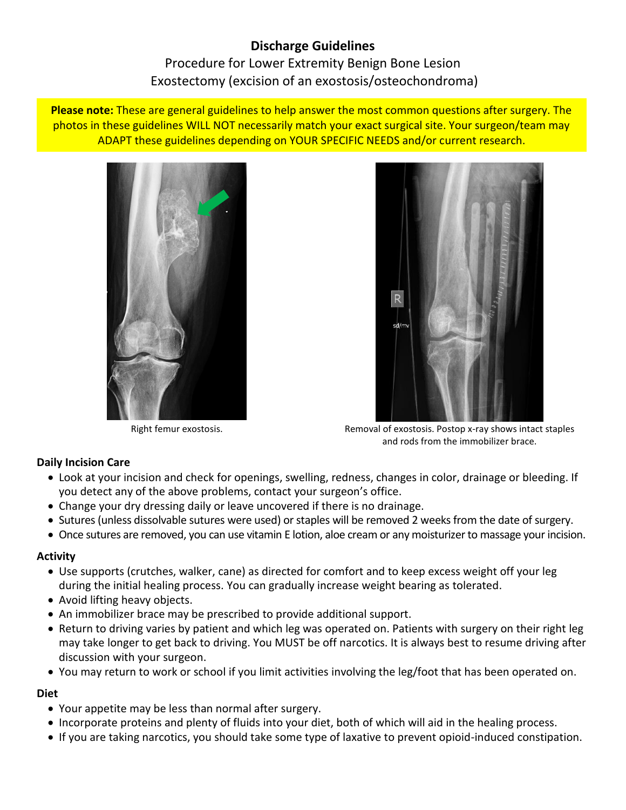# **Discharge Guidelines** Procedure for Lower Extremity Benign Bone Lesion Exostectomy (excision of an exostosis/osteochondroma)

**Please note:** These are general guidelines to help answer the most common questions after surgery. The photos in these guidelines WILL NOT necessarily match your exact surgical site. Your surgeon/team may ADAPT these guidelines depending on YOUR SPECIFIC NEEDS and/or current research.





Right femur exostosis. The state of exostosis. Postop x-ray shows intact staples and rods from the immobilizer brace.

## **Daily Incision Care**

- Look at your incision and check for openings, swelling, redness, changes in color, drainage or bleeding. If you detect any of the above problems, contact your surgeon's office.
- Change your dry dressing daily or leave uncovered if there is no drainage.
- Sutures (unless dissolvable sutures were used) or staples will be removed 2 weeks from the date of surgery.
- Once sutures are removed, you can use vitamin E lotion, aloe cream or any moisturizer to massage your incision.

## **Activity**

- Use supports (crutches, walker, cane) as directed for comfort and to keep excess weight off your leg during the initial healing process. You can gradually increase weight bearing as tolerated.
- Avoid lifting heavy objects.
- An immobilizer brace may be prescribed to provide additional support.
- Return to driving varies by patient and which leg was operated on. Patients with surgery on their right leg may take longer to get back to driving. You MUST be off narcotics. It is always best to resume driving after discussion with your surgeon.
- You may return to work or school if you limit activities involving the leg/foot that has been operated on.

## **Diet**

- Your appetite may be less than normal after surgery.
- Incorporate proteins and plenty of fluids into your diet, both of which will aid in the healing process.
- If you are taking narcotics, you should take some type of laxative to prevent opioid-induced constipation.